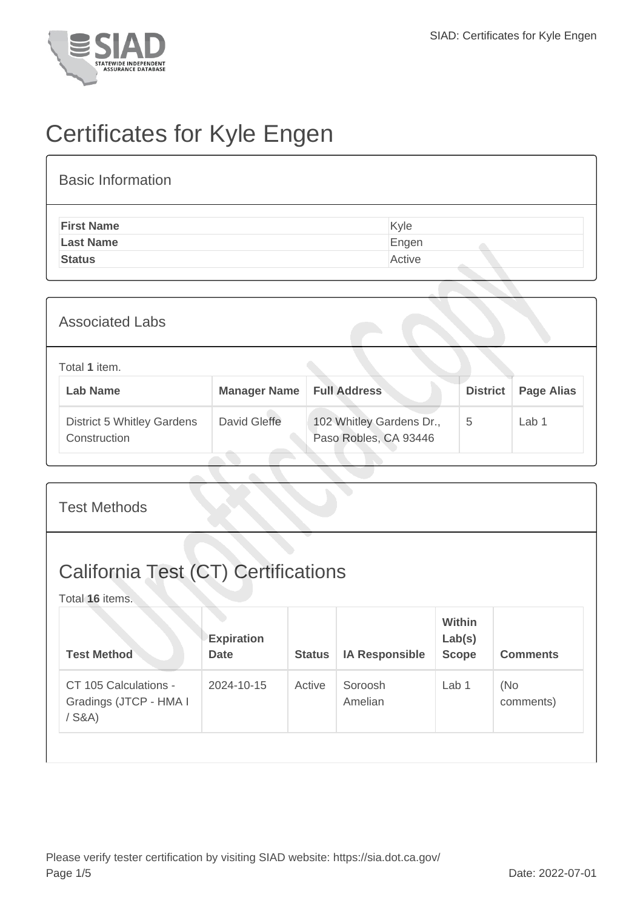

## Certificates for Kyle Engen

## Basic Information **First Name** Kyle Last Name **Engen Status** Active

| <b>Associated Labs</b>                            |                     |                                                   |                 |                   |  |  |
|---------------------------------------------------|---------------------|---------------------------------------------------|-----------------|-------------------|--|--|
| Total 1 item.<br><b>Lab Name</b>                  | <b>Manager Name</b> | <b>Full Address</b>                               | <b>District</b> | <b>Page Alias</b> |  |  |
| <b>District 5 Whitley Gardens</b><br>Construction | David Gleffe        | 102 Whitley Gardens Dr.,<br>Paso Robles, CA 93446 | 5               | Lab 1             |  |  |

| <b>Test Methods</b>                                           |                                  |               |                       |                                  |                  |  |  |
|---------------------------------------------------------------|----------------------------------|---------------|-----------------------|----------------------------------|------------------|--|--|
| <b>California Test (CT) Certifications</b><br>Total 16 items. |                                  |               |                       |                                  |                  |  |  |
| <b>Test Method</b>                                            | <b>Expiration</b><br><b>Date</b> | <b>Status</b> | <b>IA Responsible</b> | Within<br>Lab(s)<br><b>Scope</b> | <b>Comments</b>  |  |  |
| CT 105 Calculations -<br>Gradings (JTCP - HMA I<br>$/$ S&A)   | 2024-10-15                       | Active        | Soroosh<br>Amelian    | Lab 1                            | (No<br>comments) |  |  |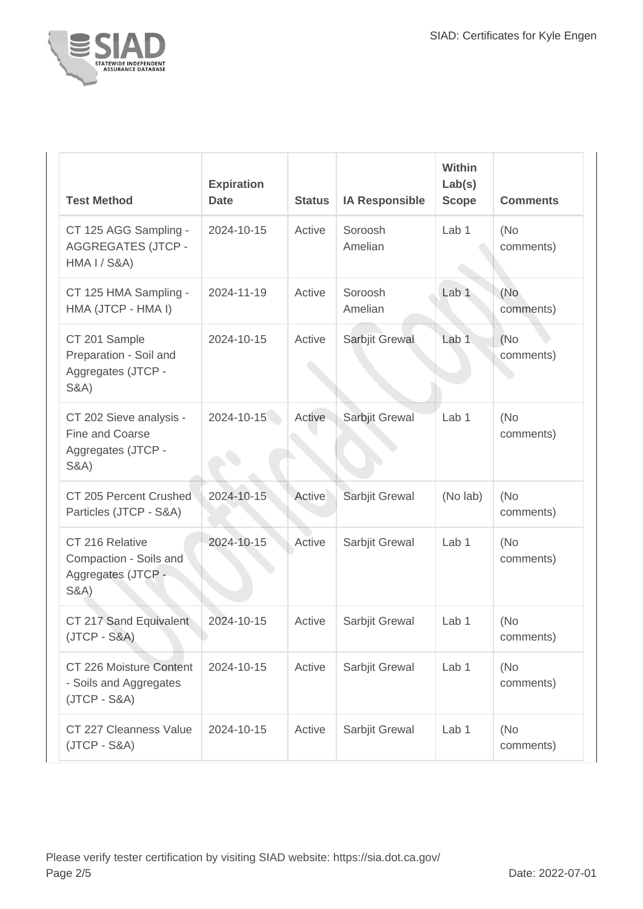

| <b>Test Method</b>                                                                   | <b>Expiration</b><br><b>Date</b> | <b>Status</b> | <b>IA Responsible</b> | Within<br>Lab(s)<br><b>Scope</b> | <b>Comments</b>   |
|--------------------------------------------------------------------------------------|----------------------------------|---------------|-----------------------|----------------------------------|-------------------|
| CT 125 AGG Sampling -<br><b>AGGREGATES (JTCP -</b><br><b>HMA I / S&amp;A)</b>        | 2024-10-15                       | Active        | Soroosh<br>Amelian    | Lab 1                            | (No<br>comments)  |
| CT 125 HMA Sampling -<br>HMA (JTCP - HMA I)                                          | 2024-11-19                       | Active        | Soroosh<br>Amelian    | Lab <sub>1</sub>                 | (No<br>comments)  |
| CT 201 Sample<br>Preparation - Soil and<br>Aggregates (JTCP -<br><b>S&amp;A)</b>     | 2024-10-15                       | Active        | Sarbjit Grewal        | Lab <sub>1</sub>                 | (No)<br>comments) |
| CT 202 Sieve analysis -<br>Fine and Coarse<br>Aggregates (JTCP -<br><b>S&amp;A</b> ) | 2024-10-15                       | Active        | Sarbjit Grewal        | Lab <sub>1</sub>                 | (No<br>comments)  |
| CT 205 Percent Crushed<br>Particles (JTCP - S&A)                                     | 2024-10-15                       | Active        | Sarbjit Grewal        | (No lab)                         | (No<br>comments)  |
| CT 216 Relative<br>Compaction - Soils and<br>Aggregates (JTCP -<br><b>S&amp;A)</b>   | 2024-10-15                       | Active        | Sarbjit Grewal        | Lab <sub>1</sub>                 | (No<br>comments)  |
| CT 217 Sand Equivalent<br>$(JTCP - S&A)$                                             | 2024-10-15                       | Active        | Sarbjit Grewal        | Lab 1                            | (No)<br>comments) |
| CT 226 Moisture Content<br>- Soils and Aggregates<br>$(JTCP - S&A)$                  | 2024-10-15                       | Active        | Sarbjit Grewal        | Lab 1                            | (No)<br>comments) |
| CT 227 Cleanness Value<br>$(JTCP - S&A)$                                             | 2024-10-15                       | Active        | Sarbjit Grewal        | Lab 1                            | (No)<br>comments) |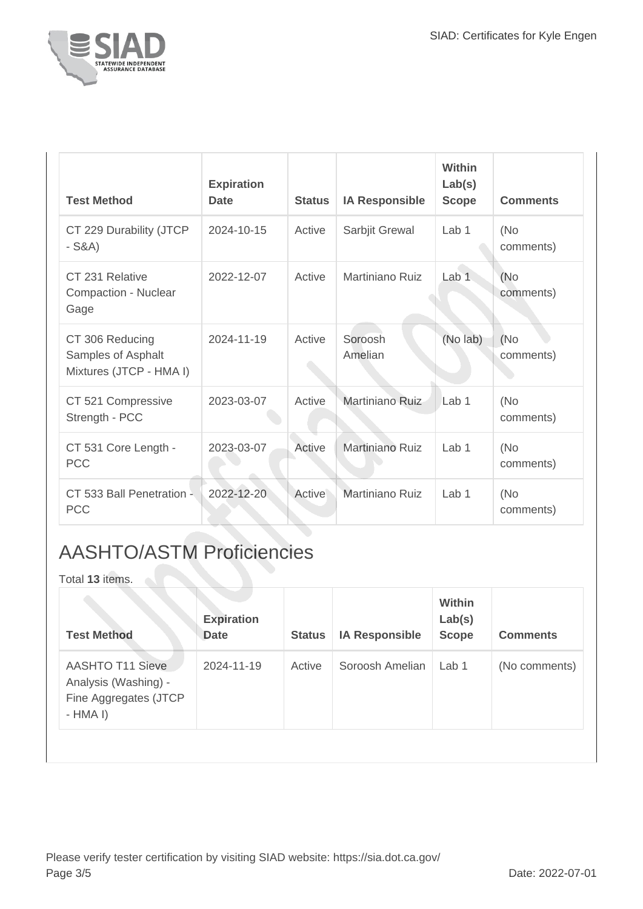

| <b>Test Method</b>                                               | <b>Expiration</b><br><b>Date</b> | <b>Status</b> | <b>IA Responsible</b>  | Within<br>Lab(s)<br><b>Scope</b> | <b>Comments</b>   |
|------------------------------------------------------------------|----------------------------------|---------------|------------------------|----------------------------------|-------------------|
| CT 229 Durability (JTCP<br>$-S&A)$                               | 2024-10-15                       | Active        | Sarbjit Grewal         | Lab <sub>1</sub>                 | (No)<br>comments) |
| CT 231 Relative<br>Compaction - Nuclear<br>Gage                  | 2022-12-07                       | Active        | Martiniano Ruiz        | Lab <sub>1</sub>                 | (No<br>comments)  |
| CT 306 Reducing<br>Samples of Asphalt<br>Mixtures (JTCP - HMA I) | 2024-11-19                       | Active        | Soroosh<br>Amelian     | (No lab)                         | (No)<br>comments) |
| CT 521 Compressive<br>Strength - PCC                             | 2023-03-07                       | Active        | Martiniano Ruiz        | Lab 1                            | (No)<br>comments) |
| CT 531 Core Length -<br><b>PCC</b>                               | 2023-03-07                       | Active        | Martiniano Ruiz        | Lab <sub>1</sub>                 | (No<br>comments)  |
| CT 533 Ball Penetration -<br><b>PCC</b>                          | 2022-12-20                       | Active        | <b>Martiniano Ruiz</b> | Lab <sub>1</sub>                 | (No)<br>comments) |

## AASHTO/ASTM Proficiencies

Total **13** items.

| <b>Test Method</b>                                                                    | <b>Expiration</b><br><b>Date</b> | <b>Status</b> | <b>IA Responsible</b> | <b>Within</b><br>Lab(s)<br><b>Scope</b> | <b>Comments</b> |
|---------------------------------------------------------------------------------------|----------------------------------|---------------|-----------------------|-----------------------------------------|-----------------|
| <b>AASHTO T11 Sieve</b><br>Analysis (Washing) -<br>Fine Aggregates (JTCP<br>$-HMA I)$ | 2024-11-19                       | Active        | Soroosh Amelian       | Lab 1                                   | (No comments)   |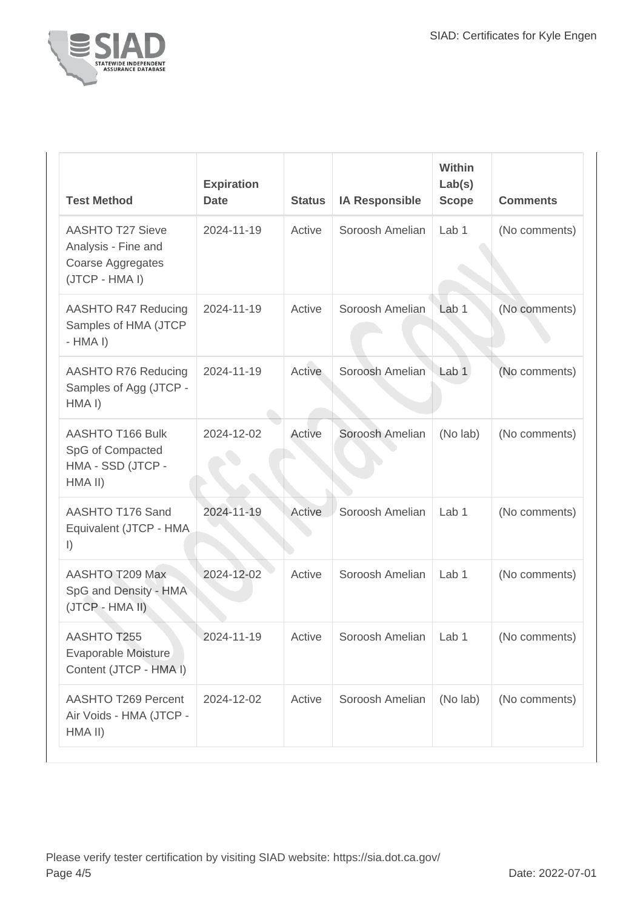

| <b>Test Method</b>                                                                    | <b>Expiration</b><br><b>Date</b> | <b>Status</b> | <b>IA Responsible</b>   | Within<br>Lab(s)<br><b>Scope</b> | <b>Comments</b> |
|---------------------------------------------------------------------------------------|----------------------------------|---------------|-------------------------|----------------------------------|-----------------|
| <b>AASHTO T27 Sieve</b><br>Analysis - Fine and<br>Coarse Aggregates<br>(JTCP - HMA I) | 2024-11-19                       | Active        | Soroosh Amelian         | Lab <sub>1</sub>                 | (No comments)   |
| AASHTO R47 Reducing<br>Samples of HMA (JTCP<br>$-HMA I$                               | 2024-11-19                       | Active        | Soroosh Amelian         | Lab <sub>1</sub>                 | (No comments)   |
| AASHTO R76 Reducing<br>Samples of Agg (JTCP -<br>HMA I)                               | 2024-11-19                       | Active        | Soroosh Amelian         | Lab <sub>1</sub>                 | (No comments)   |
| AASHTO T166 Bulk<br>SpG of Compacted<br>HMA - SSD (JTCP -<br>HMA II)                  | 2024-12-02                       | Active        | Soroosh Amelian         | (No lab)                         | (No comments)   |
| AASHTO T176 Sand<br>Equivalent (JTCP - HMA)<br>$\vert$ )                              | 2024-11-19                       | Active        | Soroosh Amelian         | Lab <sub>1</sub>                 | (No comments)   |
| AASHTO T209 Max<br>SpG and Density - HMA<br>(JTCP - HMA II)                           | 2024-12-02                       | Active        | Soroosh Amelian         | Lab <sub>1</sub>                 | (No comments)   |
| AASHTO T255<br>Evaporable Moisture<br>Content (JTCP - HMA I)                          | 2024-11-19                       | Active        | Soroosh Amelian   Lab 1 |                                  | (No comments)   |
| <b>AASHTO T269 Percent</b><br>Air Voids - HMA (JTCP -<br>HMA II)                      | 2024-12-02                       | Active        | Soroosh Amelian         | (No lab)                         | (No comments)   |